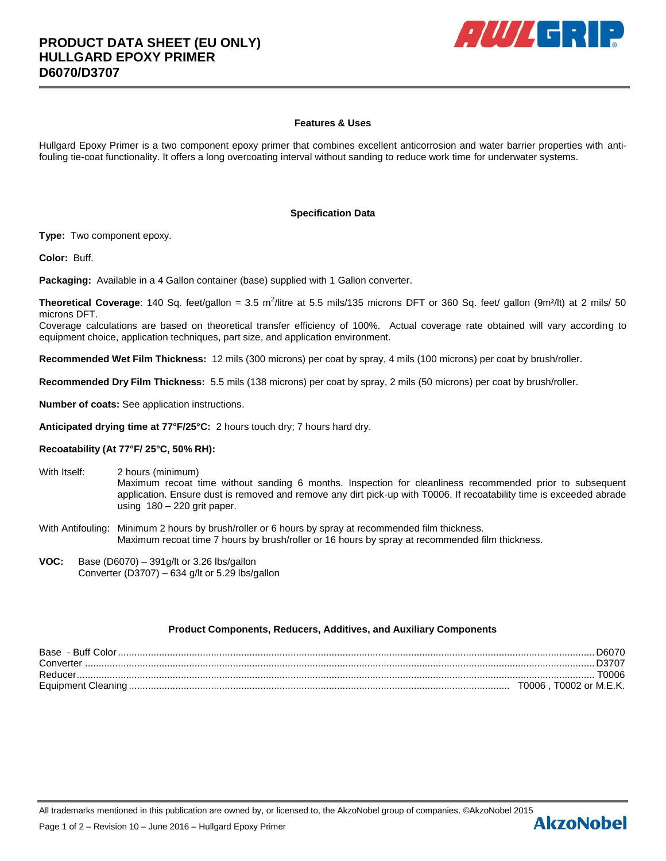

# **Features & Uses**

Hullgard Epoxy Primer is a two component epoxy primer that combines excellent anticorrosion and water barrier properties with antifouling tie-coat functionality. It offers a long overcoating interval without sanding to reduce work time for underwater systems.

## **Specification Data**

**Type:** Two component epoxy.

**Color:** Buff.

**Packaging:** Available in a 4 Gallon container (base) supplied with 1 Gallon converter.

Theoretical Coverage: 140 Sq. feet/gallon = 3.5 m<sup>2</sup>/litre at 5.5 mils/135 microns DFT or 360 Sq. feet/ gallon (9m<sup>2</sup>/lt) at 2 mils/ 50 microns DFT.

Coverage calculations are based on theoretical transfer efficiency of 100%. Actual coverage rate obtained will vary according to equipment choice, application techniques, part size, and application environment.

**Recommended Wet Film Thickness:** 12 mils (300 microns) per coat by spray, 4 mils (100 microns) per coat by brush/roller.

**Recommended Dry Film Thickness:** 5.5 mils (138 microns) per coat by spray, 2 mils (50 microns) per coat by brush/roller.

**Number of coats:** See application instructions.

**Anticipated drying time at 77°F/25°C:** 2 hours touch dry; 7 hours hard dry.

## **Recoatability (At 77°F/ 25°C, 50% RH):**

- With Itself: 2 hours (minimum) Maximum recoat time without sanding 6 months. Inspection for cleanliness recommended prior to subsequent application. Ensure dust is removed and remove any dirt pick-up with T0006. If recoatability time is exceeded abrade using 180 – 220 grit paper.
- With Antifouling: Minimum 2 hours by brush/roller or 6 hours by spray at recommended film thickness. Maximum recoat time 7 hours by brush/roller or 16 hours by spray at recommended film thickness.
- **VOC:** Base (D6070) 391g/lt or 3.26 lbs/gallon Converter (D3707) – 634 g/lt or 5.29 lbs/gallon

### **Product Components, Reducers, Additives, and Auxiliary Components**

| Base - Buff Color. |                        |
|--------------------|------------------------|
| Converter          |                        |
| Reducer            | 70006                  |
|                    | T0006. T0002 or M.E.K. |